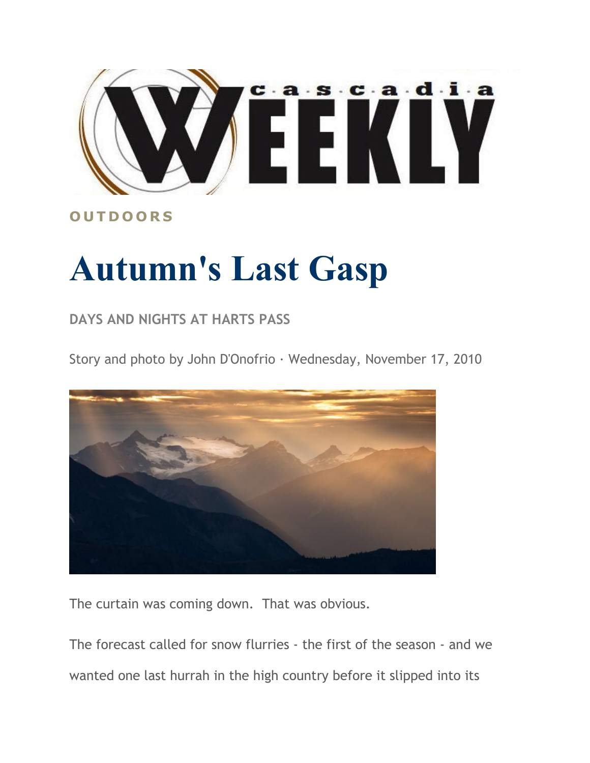

## **O U T D O O R S**

## **Autumn's Last Gasp**

## **DAYS AND NIGHTS AT HARTS PASS**

Story and photo by John D'Onofrio · Wednesday, November 17, 2010



The curtain was coming down. That was obvious.

The forecast called for snow flurries - the first of the season - and we wanted one last hurrah in the high country before it slipped into its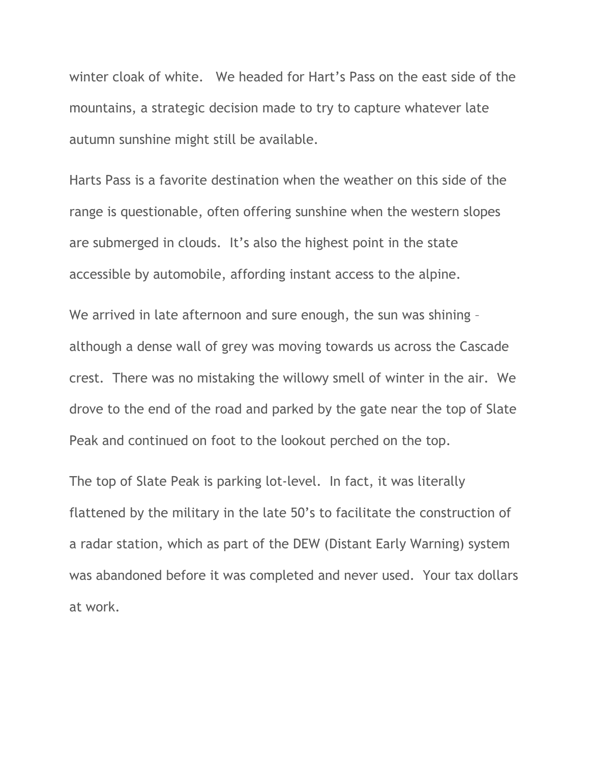winter cloak of white. We headed for Hart's Pass on the east side of the mountains, a strategic decision made to try to capture whatever late autumn sunshine might still be available.

Harts Pass is a favorite destination when the weather on this side of the range is questionable, often offering sunshine when the western slopes are submerged in clouds. It's also the highest point in the state accessible by automobile, affording instant access to the alpine.

We arrived in late afternoon and sure enough, the sun was shining – although a dense wall of grey was moving towards us across the Cascade crest. There was no mistaking the willowy smell of winter in the air. We drove to the end of the road and parked by the gate near the top of Slate Peak and continued on foot to the lookout perched on the top.

The top of Slate Peak is parking lot-level. In fact, it was literally flattened by the military in the late 50's to facilitate the construction of a radar station, which as part of the DEW (Distant Early Warning) system was abandoned before it was completed and never used. Your tax dollars at work.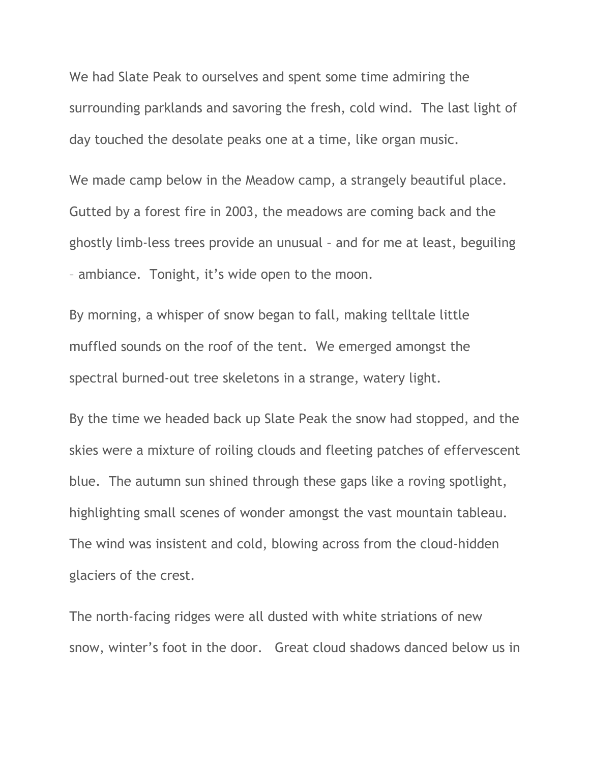We had Slate Peak to ourselves and spent some time admiring the surrounding parklands and savoring the fresh, cold wind. The last light of day touched the desolate peaks one at a time, like organ music.

We made camp below in the Meadow camp, a strangely beautiful place. Gutted by a forest fire in 2003, the meadows are coming back and the ghostly limb-less trees provide an unusual – and for me at least, beguiling – ambiance. Tonight, it's wide open to the moon.

By morning, a whisper of snow began to fall, making telltale little muffled sounds on the roof of the tent. We emerged amongst the spectral burned-out tree skeletons in a strange, watery light.

By the time we headed back up Slate Peak the snow had stopped, and the skies were a mixture of roiling clouds and fleeting patches of effervescent blue. The autumn sun shined through these gaps like a roving spotlight, highlighting small scenes of wonder amongst the vast mountain tableau. The wind was insistent and cold, blowing across from the cloud-hidden glaciers of the crest.

The north-facing ridges were all dusted with white striations of new snow, winter's foot in the door. Great cloud shadows danced below us in